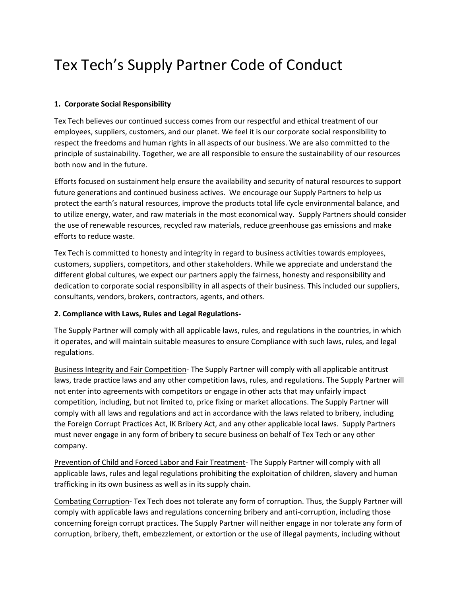# Tex Tech's Supply Partner Code of Conduct

## **1. Corporate Social Responsibility**

Tex Tech believes our continued success comes from our respectful and ethical treatment of our employees, suppliers, customers, and our planet. We feel it is our corporate social responsibility to respect the freedoms and human rights in all aspects of our business. We are also committed to the principle of sustainability. Together, we are all responsible to ensure the sustainability of our resources both now and in the future.

Efforts focused on sustainment help ensure the availability and security of natural resources to support future generations and continued business actives. We encourage our Supply Partners to help us protect the earth's natural resources, improve the products total life cycle environmental balance, and to utilize energy, water, and raw materials in the most economical way. Supply Partners should consider the use of renewable resources, recycled raw materials, reduce greenhouse gas emissions and make efforts to reduce waste.

Tex Tech is committed to honesty and integrity in regard to business activities towards employees, customers, suppliers, competitors, and other stakeholders. While we appreciate and understand the different global cultures, we expect our partners apply the fairness, honesty and responsibility and dedication to corporate social responsibility in all aspects of their business. This included our suppliers, consultants, vendors, brokers, contractors, agents, and others.

#### **2. Compliance with Laws, Rules and Legal Regulations-**

The Supply Partner will comply with all applicable laws, rules, and regulations in the countries, in which it operates, and will maintain suitable measures to ensure Compliance with such laws, rules, and legal regulations.

Business Integrity and Fair Competition- The Supply Partner will comply with all applicable antitrust laws, trade practice laws and any other competition laws, rules, and regulations. The Supply Partner will not enter into agreements with competitors or engage in other acts that may unfairly impact competition, including, but not limited to, price fixing or market allocations. The Supply Partner will comply with all laws and regulations and act in accordance with the laws related to bribery, including the Foreign Corrupt Practices Act, IK Bribery Act, and any other applicable local laws. Supply Partners must never engage in any form of bribery to secure business on behalf of Tex Tech or any other company.

Prevention of Child and Forced Labor and Fair Treatment- The Supply Partner will comply with all applicable laws, rules and legal regulations prohibiting the exploitation of children, slavery and human trafficking in its own business as well as in its supply chain.

Combating Corruption- Tex Tech does not tolerate any form of corruption. Thus, the Supply Partner will comply with applicable laws and regulations concerning bribery and anti-corruption, including those concerning foreign corrupt practices. The Supply Partner will neither engage in nor tolerate any form of corruption, bribery, theft, embezzlement, or extortion or the use of illegal payments, including without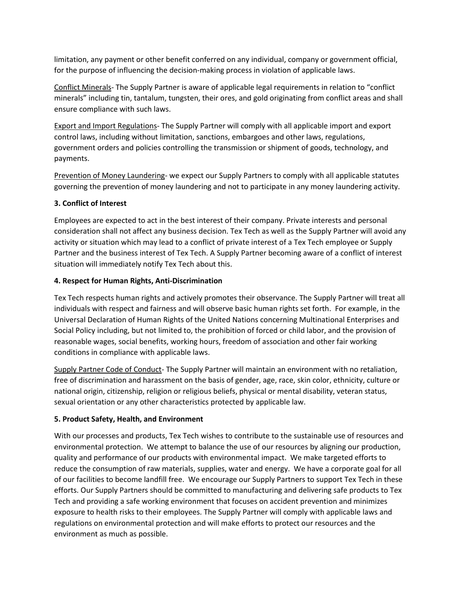limitation, any payment or other benefit conferred on any individual, company or government official, for the purpose of influencing the decision-making process in violation of applicable laws.

Conflict Minerals- The Supply Partner is aware of applicable legal requirements in relation to "conflict minerals" including tin, tantalum, tungsten, their ores, and gold originating from conflict areas and shall ensure compliance with such laws.

Export and Import Regulations- The Supply Partner will comply with all applicable import and export control laws, including without limitation, sanctions, embargoes and other laws, regulations, government orders and policies controlling the transmission or shipment of goods, technology, and payments.

Prevention of Money Laundering- we expect our Supply Partners to comply with all applicable statutes governing the prevention of money laundering and not to participate in any money laundering activity.

# **3. Conflict of Interest**

Employees are expected to act in the best interest of their company. Private interests and personal consideration shall not affect any business decision. Tex Tech as well as the Supply Partner will avoid any activity or situation which may lead to a conflict of private interest of a Tex Tech employee or Supply Partner and the business interest of Tex Tech. A Supply Partner becoming aware of a conflict of interest situation will immediately notify Tex Tech about this.

#### **4. Respect for Human Rights, Anti-Discrimination**

Tex Tech respects human rights and actively promotes their observance. The Supply Partner will treat all individuals with respect and fairness and will observe basic human rights set forth. For example, in the Universal Declaration of Human Rights of the United Nations concerning Multinational Enterprises and Social Policy including, but not limited to, the prohibition of forced or child labor, and the provision of reasonable wages, social benefits, working hours, freedom of association and other fair working conditions in compliance with applicable laws.

Supply Partner Code of Conduct- The Supply Partner will maintain an environment with no retaliation, free of discrimination and harassment on the basis of gender, age, race, skin color, ethnicity, culture or national origin, citizenship, religion or religious beliefs, physical or mental disability, veteran status, sexual orientation or any other characteristics protected by applicable law.

#### **5. Product Safety, Health, and Environment**

With our processes and products, Tex Tech wishes to contribute to the sustainable use of resources and environmental protection. We attempt to balance the use of our resources by aligning our production, quality and performance of our products with environmental impact. We make targeted efforts to reduce the consumption of raw materials, supplies, water and energy. We have a corporate goal for all of our facilities to become landfill free. We encourage our Supply Partners to support Tex Tech in these efforts. Our Supply Partners should be committed to manufacturing and delivering safe products to Tex Tech and providing a safe working environment that focuses on accident prevention and minimizes exposure to health risks to their employees. The Supply Partner will comply with applicable laws and regulations on environmental protection and will make efforts to protect our resources and the environment as much as possible.